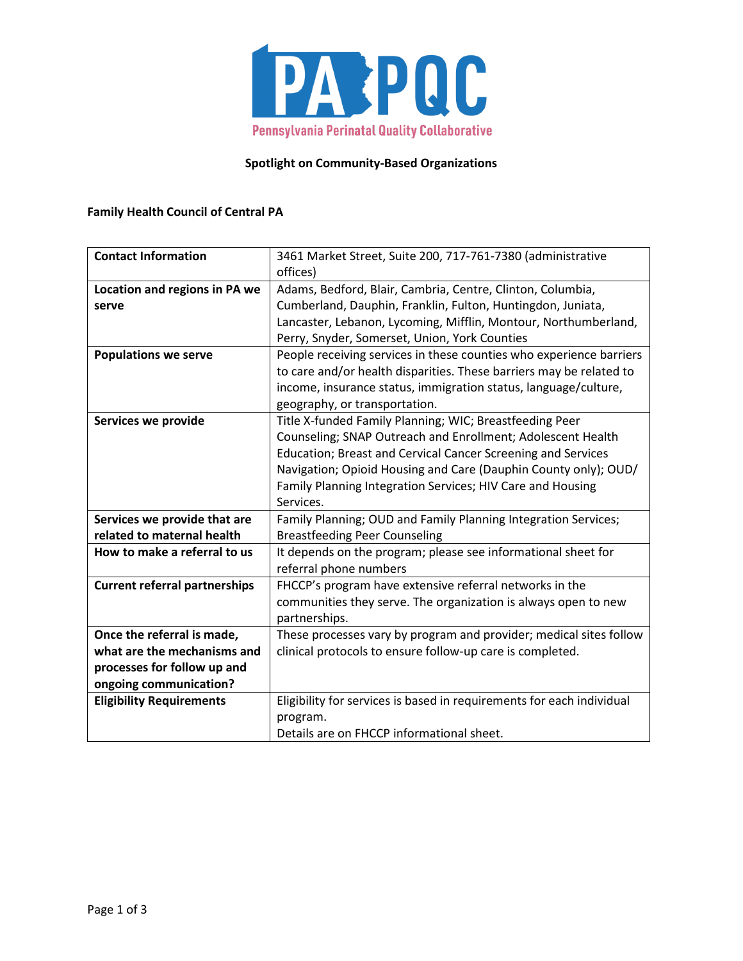

### **Spotlight on Community-Based Organizations**

## **Family Health Council of Central PA**

| <b>Contact Information</b>           | 3461 Market Street, Suite 200, 717-761-7380 (administrative           |
|--------------------------------------|-----------------------------------------------------------------------|
|                                      | offices)                                                              |
| Location and regions in PA we        | Adams, Bedford, Blair, Cambria, Centre, Clinton, Columbia,            |
| serve                                | Cumberland, Dauphin, Franklin, Fulton, Huntingdon, Juniata,           |
|                                      | Lancaster, Lebanon, Lycoming, Mifflin, Montour, Northumberland,       |
|                                      | Perry, Snyder, Somerset, Union, York Counties                         |
| <b>Populations we serve</b>          | People receiving services in these counties who experience barriers   |
|                                      | to care and/or health disparities. These barriers may be related to   |
|                                      | income, insurance status, immigration status, language/culture,       |
|                                      | geography, or transportation.                                         |
| Services we provide                  | Title X-funded Family Planning; WIC; Breastfeeding Peer               |
|                                      | Counseling; SNAP Outreach and Enrollment; Adolescent Health           |
|                                      | Education; Breast and Cervical Cancer Screening and Services          |
|                                      | Navigation; Opioid Housing and Care (Dauphin County only); OUD/       |
|                                      | Family Planning Integration Services; HIV Care and Housing            |
|                                      | Services.                                                             |
|                                      | Family Planning; OUD and Family Planning Integration Services;        |
| Services we provide that are         |                                                                       |
| related to maternal health           | <b>Breastfeeding Peer Counseling</b>                                  |
| How to make a referral to us         | It depends on the program; please see informational sheet for         |
|                                      | referral phone numbers                                                |
| <b>Current referral partnerships</b> | FHCCP's program have extensive referral networks in the               |
|                                      | communities they serve. The organization is always open to new        |
|                                      | partnerships.                                                         |
| Once the referral is made,           | These processes vary by program and provider; medical sites follow    |
| what are the mechanisms and          | clinical protocols to ensure follow-up care is completed.             |
| processes for follow up and          |                                                                       |
| ongoing communication?               |                                                                       |
| <b>Eligibility Requirements</b>      | Eligibility for services is based in requirements for each individual |
|                                      | program.                                                              |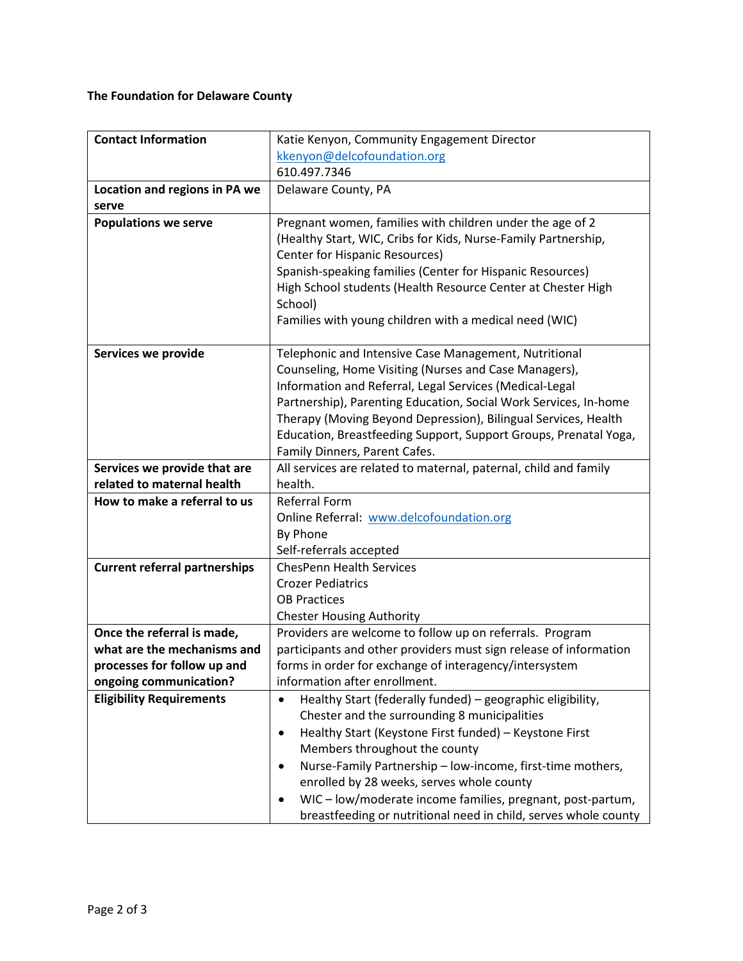# **The Foundation for Delaware County**

| <b>Contact Information</b>           | Katie Kenyon, Community Engagement Director                                                                                                                                                                                                                                                                                                                                                                          |
|--------------------------------------|----------------------------------------------------------------------------------------------------------------------------------------------------------------------------------------------------------------------------------------------------------------------------------------------------------------------------------------------------------------------------------------------------------------------|
|                                      | kkenyon@delcofoundation.org                                                                                                                                                                                                                                                                                                                                                                                          |
|                                      | 610.497.7346                                                                                                                                                                                                                                                                                                                                                                                                         |
| Location and regions in PA we        | Delaware County, PA                                                                                                                                                                                                                                                                                                                                                                                                  |
| serve                                |                                                                                                                                                                                                                                                                                                                                                                                                                      |
| <b>Populations we serve</b>          | Pregnant women, families with children under the age of 2<br>(Healthy Start, WIC, Cribs for Kids, Nurse-Family Partnership,<br>Center for Hispanic Resources)<br>Spanish-speaking families (Center for Hispanic Resources)<br>High School students (Health Resource Center at Chester High<br>School)<br>Families with young children with a medical need (WIC)                                                      |
|                                      |                                                                                                                                                                                                                                                                                                                                                                                                                      |
| Services we provide                  | Telephonic and Intensive Case Management, Nutritional<br>Counseling, Home Visiting (Nurses and Case Managers),<br>Information and Referral, Legal Services (Medical-Legal<br>Partnership), Parenting Education, Social Work Services, In-home<br>Therapy (Moving Beyond Depression), Bilingual Services, Health<br>Education, Breastfeeding Support, Support Groups, Prenatal Yoga,<br>Family Dinners, Parent Cafes. |
| Services we provide that are         | All services are related to maternal, paternal, child and family                                                                                                                                                                                                                                                                                                                                                     |
| related to maternal health           | health.                                                                                                                                                                                                                                                                                                                                                                                                              |
| How to make a referral to us         | <b>Referral Form</b>                                                                                                                                                                                                                                                                                                                                                                                                 |
|                                      | Online Referral: www.delcofoundation.org                                                                                                                                                                                                                                                                                                                                                                             |
|                                      | By Phone                                                                                                                                                                                                                                                                                                                                                                                                             |
|                                      | Self-referrals accepted                                                                                                                                                                                                                                                                                                                                                                                              |
| <b>Current referral partnerships</b> | <b>ChesPenn Health Services</b>                                                                                                                                                                                                                                                                                                                                                                                      |
|                                      | <b>Crozer Pediatrics</b>                                                                                                                                                                                                                                                                                                                                                                                             |
|                                      | <b>OB Practices</b><br><b>Chester Housing Authority</b>                                                                                                                                                                                                                                                                                                                                                              |
| Once the referral is made,           | Providers are welcome to follow up on referrals. Program                                                                                                                                                                                                                                                                                                                                                             |
| what are the mechanisms and          | participants and other providers must sign release of information                                                                                                                                                                                                                                                                                                                                                    |
| processes for follow up and          | forms in order for exchange of interagency/intersystem                                                                                                                                                                                                                                                                                                                                                               |
| ongoing communication?               | information after enrollment.                                                                                                                                                                                                                                                                                                                                                                                        |
| <b>Eligibility Requirements</b>      | Healthy Start (federally funded) - geographic eligibility,<br>$\bullet$                                                                                                                                                                                                                                                                                                                                              |
|                                      | Chester and the surrounding 8 municipalities                                                                                                                                                                                                                                                                                                                                                                         |
|                                      | Healthy Start (Keystone First funded) - Keystone First                                                                                                                                                                                                                                                                                                                                                               |
|                                      | Members throughout the county                                                                                                                                                                                                                                                                                                                                                                                        |
|                                      | Nurse-Family Partnership - low-income, first-time mothers,                                                                                                                                                                                                                                                                                                                                                           |
|                                      | enrolled by 28 weeks, serves whole county                                                                                                                                                                                                                                                                                                                                                                            |
|                                      | WIC-low/moderate income families, pregnant, post-partum,                                                                                                                                                                                                                                                                                                                                                             |
|                                      | breastfeeding or nutritional need in child, serves whole county                                                                                                                                                                                                                                                                                                                                                      |